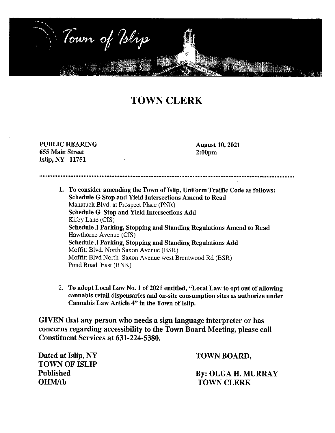

# **TOWN CLERK**

# PUBLIC HEARING 655 Main Street Islip, NY 11751

August 10, 2021 2:00pm

............................................................................................................................................................ 1. To consider amending the Town of Islip, Uniform Traffic Code as follows:

Schedule G Stop and Yield Intersections Amend to Read Manatuck Blvd. at Prospect Place (PNR) Schedule G Stop and Yield Intersections Add Kirby Lane (CIS) Schedule J Parking, Stopping and Standing Regulations Amend to Read Hawthorne Avenue (CIS) Schedule J Parking, Stopping and Standing Regulations Add Moffitt Blvd. North Saxon Avenue (BSR) Moffitt Blvd North Saxon Avenue west Brentwood Rd (BSR) Pond Road East (RNK)

2. To adopt Local Law No. 1 of 2021 entitled, "Local Law to opt out of allowing cannabis retail dispensaries and on-site consumption sites as authorize under Cannabis Law Article 4" in the Town of Islip.

GIVEN that any person who needs a sign language interpreter or has concerns regarding accessibility to the Town Board Meeting, please call Constituent Services at 631-224-5380.

Dated at Islip, NY TOWN OF ISLIP Published OHM/th

TOWN BOARD,

By: OLGA H. MURRAY TOWN CLERK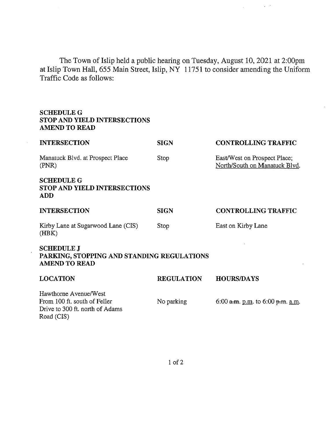The Town of Islip held a public hearing on Tuesday, August 10, 2021 at 2:00pm at Islip Town Hall, 655 Main Street, Islip, NY 11751 to consider amending the Uniform Traffic Code as follows:

 $\mu$  ,  $\lambda$ 

# **SCHEDULEG STOP AND YIELD INTERSECTIONS AMEND TO READ**

| <b>INTERSECTION</b>                                                                                    | <b>SIGN</b>       | <b>CONTROLLING TRAFFIC</b>                                    |  |  |
|--------------------------------------------------------------------------------------------------------|-------------------|---------------------------------------------------------------|--|--|
| Manatuck Blvd. at Prospect Place<br>(PNR)                                                              | Stop              | East/West on Prospect Place;<br>North/South on Manatuck Blvd. |  |  |
| <b>SCHEDULE G</b><br><b>STOP AND YIELD INTERSECTIONS</b><br><b>ADD</b>                                 |                   |                                                               |  |  |
| <b>INTERSECTION</b>                                                                                    | <b>SIGN</b>       | <b>CONTROLLING TRAFFIC</b>                                    |  |  |
| Kirby Lane at Sugarwood Lane (CIS)<br>(HBK)                                                            | Stop              | East on Kirby Lane                                            |  |  |
| <b>SCHEDULE J</b><br>PARKING, STOPPING AND STANDING REGULATIONS<br><b>AMEND TO READ</b>                |                   |                                                               |  |  |
| <b>LOCATION</b>                                                                                        | <b>REGULATION</b> | <b>HOURS/DAYS</b>                                             |  |  |
| Hawthorne Avenue/West<br>From 100 ft. south of Feller<br>Drive to 300 ft. north of Adams<br>Road (CIS) | No parking        | 6:00 a.m. p.m. to 6:00 p.m. a.m.                              |  |  |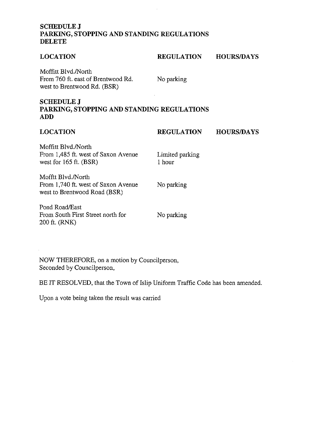# **SCHEDULEJ PARKING, STOPPING AND STANDING REGULATIONS DELETE**

| <b>LOCATION</b>                                                                           | <b>REGULATION</b>         | <b>HOURS/DAYS</b> |  |  |
|-------------------------------------------------------------------------------------------|---------------------------|-------------------|--|--|
| Moffitt Blyd./North<br>From 760 ft. east of Brentwood Rd.<br>west to Brentwood Rd. (BSR)  | No parking                |                   |  |  |
| <b>SCHEDULE J</b><br>PARKING, STOPPING AND STANDING REGULATIONS<br><b>ADD</b>             |                           |                   |  |  |
| <b>LOCATION</b>                                                                           | <b>REGULATION</b>         | <b>HOURS/DAYS</b> |  |  |
| Moffitt Blvd./North<br>From 1,485 ft. west of Saxon Avenue<br>west for $165$ ft. $(BSR)$  | Limited parking<br>1 hour |                   |  |  |
| Mofftt Blyd./North<br>From 1,740 ft. west of Saxon Avenue<br>west to Brentwood Road (BSR) | No parking                |                   |  |  |
| Pond Road/East<br>From South First Street north for<br>200 ft. (RNK)                      | No parking                |                   |  |  |

 $\hat{\mathcal{L}}$ 

NOW THEREFORE, on a motion by Councilperson, Seconded by Councilperson,

BE IT RESOLVED, that the Town of Islip Uniform Traffic Code has been amended.

Upon a vote being taken the result was carried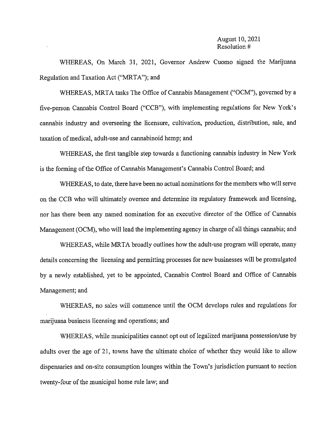#### August 10, 2021 Resolution #

WHEREAS, On March 31, 2021, Governor Andrew Cuomo signed the Marijuana Regulation and Taxation Act ("MRTA"); and

WHEREAS, MRTA tasks The Office of Cannabis Management ("OCM"), governed by a five-person Cannabis Control Board ("CCB"), with implementing regulations for New York's cannabis industry and overseeing the licensure, cultivation, production, distribution, sale, and taxation of medical, adult-use and cannabinoid hemp; and

WHEREAS, the first tangible step towards a functioning cannabis industry in New York is the forming of the Office of Cannabis Management's Cannabis Control Board; and

WHEREAS, to date, there have been no actual nominations for the members who will serve on the CCB who will ultimately oversee and determine its regulatory framework and licensing, nor has there been any named nomination for an executive director of the Office of Cannabis Management (OCM), who will lead the implementing agency in charge of all things cannabis; and

WHEREAS, while MRTA broadly outlines how the adult-use program will operate, many details concerning the licensing and permitting processes for new businesses will be promulgated by a newly established, yet to be appointed, Cannabis Control Board and Office of Cannabis Management; and

WHEREAS, no sales will commence until the OCM develops rules and regulations for marijuana business licensing and operations; and

WHEREAS, while municipalities cannot opt out of legalized marijuana possession/use by adults over the age of 21, towns have the ultimate choice of whether they would like to allow dispensaries and on-site consumption lounges within the Town's jurisdiction pursuant to section twenty-four of the municipal home rule law; and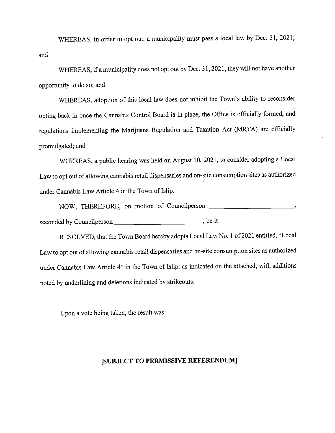WHEREAS, in order to opt out, a municipality must pass a local law by Dec. 31, 2021; and

WHEREAS, if a municipality does not opt out by Dec. 31, 2021, they will not have another opportunity to do so; and

WHEREAS, adoption of this local law does not inhibit the Town's ability to reconsider opting back in once the Cannabis Control Board is in place, the Office is officially formed, and regulations implementing the Marijuana Regulation and Taxation Act (MRTA) are officially promulgated; and

WHEREAS, a public hearing was held on August 10, 2021, to consider adopting a Local Law to opt out of allowing cannabis retail dispensaries and on-site consumption sites as authorized under Cannabis Law Article 4 in the Town of Islip.

NOW, THEREFORE, on motion of Councilperson -----------~ seconded by Councilperson \_\_\_\_\_\_\_\_\_\_\_ \_, be it

RESOLVED, that the Town Board hereby adopts Local Law No. I of2021 entitled, "Local Law to opt out of allowing cannabis retail dispensaries and on-site consumption sites as authorized under Cannabis Law Article 4" in the Town of Islip; as indicated on the attached, with additions noted by underlining and deletions indicated by strikeouts.

Upon a vote being taken, the result was:

# **[SUBJECT TO PERMISSIVE REFERENDUM]**